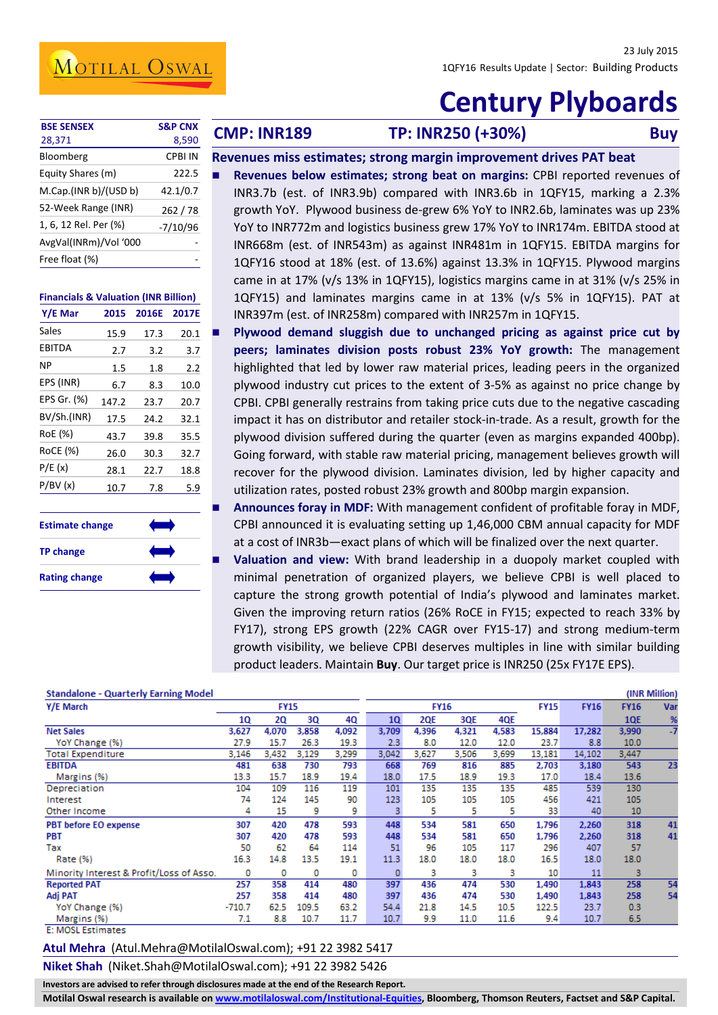## MOTILAL OSWAL

# **Century Plyboards**

| <b>BSE SENSEX</b>     | <b>S&amp;P CNX</b> |
|-----------------------|--------------------|
| 28,371                | 8,590              |
| Bloomberg             | CPBI IN            |
| Equity Shares (m)     | 222.5              |
| M.Cap.(INR b)/(USD b) | 42.1/0.7           |
| 52-Week Range (INR)   | 262/78             |
| 1, 6, 12 Rel. Per (%) | $-7/10/96$         |
| AvgVal(INRm)/Vol '000 |                    |
| Free float (%)        |                    |
|                       |                    |

#### **Financials & Valuation (INR Billion)**

| Y/E Mar     | 2015    | 2016E          | 2017E |
|-------------|---------|----------------|-------|
| Sales       | 15.9    | 17.3           | 20.1  |
| EBITDA      | 2.7     | 3.2            | 3.7   |
| ΝP          | $1.5\,$ | 1.8            | 2.2   |
| EPS (INR)   | 6.7     | 8.3            | 10.0  |
| EPS Gr. (%) | 147.2   | 23.7           | 20.7  |
| BV/Sh.(INR) | 17.5    | 24.2           | 32.1  |
| RoE (%)     | 43.7    | 39.8           | 35.5  |
| RoCE (%)    | 26.0    | 30.3           | 32.7  |
| P/E(x)      | 28.1    | 22.7           | 18.8  |
| P/BV(x)     | 10.7    | 7.8            | 5.9   |
|             |         |                |       |
|             |         | $\blacksquare$ | ٠     |

| <b>Estimate change</b> |  |
|------------------------|--|
| <b>TP change</b>       |  |
| <b>Rating change</b>   |  |

**Buy CMP: INR189 TP: INR250 (+30%) Buy** 

#### **Revenues miss estimates; strong margin improvement drives PAT beat Revenues below estimates; strong beat on margins:** CPBI reported revenues of INR3.7b (est. of INR3.9b) compared with INR3.6b in 1QFY15, marking a 2.3% growth YoY. Plywood business de-grew 6% YoY to INR2.6b, laminates was up 23% YoY to INR772m and logistics business grew 17% YoY to INR174m. EBITDA stood at INR668m (est. of INR543m) as against INR481m in 1QFY15. EBITDA margins for 1QFY16 stood at 18% (est. of 13.6%) against 13.3% in 1QFY15. Plywood margins came in at 17% (v/s 13% in 1QFY15), logistics margins came in at 31% (v/s 25% in

1QFY15) and laminates margins came in at 13% (v/s 5% in 1QFY15). PAT at INR397m (est. of INR258m) compared with INR257m in 1QFY15. **Plywood demand sluggish due to unchanged pricing as against price cut by peers; laminates division posts robust 23% YoY growth:** The management highlighted that led by lower raw material prices, leading peers in the organized plywood industry cut prices to the extent of 3-5% as against no price change by CPBI. CPBI generally restrains from taking price cuts due to the negative cascading impact it has on distributor and retailer stock-in-trade. As a result, growth for the plywood division suffered during the quarter (even as margins expanded 400bp). Going forward, with stable raw material pricing, management believes growth will recover for the plywood division. Laminates division, led by higher capacity and

 **Announces foray in MDF:** With management confident of profitable foray in MDF, CPBI announced it is evaluating setting up 1,46,000 CBM annual capacity for MDF at a cost of INR3b—exact plans of which will be finalized over the next quarter.

utilization rates, posted robust 23% growth and 800bp margin expansion.

 **Valuation and view:** With brand leadership in a duopoly market coupled with minimal penetration of organized players, we believe CPBI is well placed to capture the strong growth potential of India's plywood and laminates market. Given the improving return ratios (26% RoCE in FY15; expected to reach 33% by FY17), strong EPS growth (22% CAGR over FY15-17) and strong medium-term growth visibility, we believe CPBI deserves multiples in line with similar building product leaders. Maintain **Buy**. Our target price is INR250 (25x FY17E EPS).

| <b>Standalone - Quarterly Earning Model</b> |          |             |       |       |       |             |       |       |             |             |             | (INR Million)   |
|---------------------------------------------|----------|-------------|-------|-------|-------|-------------|-------|-------|-------------|-------------|-------------|-----------------|
| Y/E March                                   |          | <b>FY15</b> |       |       |       | <b>FY16</b> |       |       | <b>FY15</b> | <b>FY16</b> | <b>FY16</b> | Var             |
|                                             | 10       | 20          | 30    | 4Q    | 1Q    | <b>2QE</b>  | 3QE   | 4QE   |             |             | <b>1QE</b>  | %               |
| <b>Net Sales</b>                            | 3,627    | 4,070       | 3,858 | 4,092 | 3,709 | 4,396       | 4,321 | 4,583 | 15,884      | 17,282      | 3,990       | $\overline{.7}$ |
| YoY Change (%)                              | 27.9     | 15.7        | 26.3  | 19.3  | 2.3   | 8.0         | 12.0  | 12.0  | 23.7        | 8.8         | 10.0        |                 |
| <b>Total Expenditure</b>                    | 3,146    | 3.432       | 3.129 | 3,299 | 3.042 | 3,627       | 3,506 | 3,699 | 13,181      | 14,102      | 3,447       |                 |
| <b>EBITDA</b>                               | 481      | 638         | 730   | 793   | 668   | 769         | 816   | 885   | 2,703       | 3,180       | 543         | 23              |
| Margins (%)                                 | 13.3     | 15.7        | 18.9  | 19.4  | 18.0  | 17.5        | 18.9  | 19.3  | 17.0        | 18.4        | 13.6        |                 |
| Depreciation                                | 104      | 109         | 116   | 119   | 101   | 135         | 135   | 135   | 485         | 539         | 130         |                 |
| Interest                                    | 74       | 124         | 145   | 90    | 123   | 105         | 105   | 105   | 456         | 421         | 105         |                 |
| Other Income                                | 4        | 15          | 9     | 9     |       | 5           | 5     | 5     | 33          | 40          | 10          |                 |
| <b>PBT before EO expense</b>                | 307      | 420         | 478   | 593   | 448   | 534         | 581   | 650   | 1,796       | 2,260       | 318         | 41              |
| PBT                                         | 307      | 420         | 478   | 593   | 448   | 534         | 581   | 650   | 1.796       | 2.260       | 318         | 41              |
| Tax                                         | 50       | 62          | 64    | 114   | 51    | 96          | 105   | 117   | 296         | 407         | 57          |                 |
| Rate (%)                                    | 16.3     | 14.8        | 13.5  | 19.1  | 11.3  | 18.0        | 18.0  | 18.0  | 16.5        | 18.0        | 18.0        |                 |
| Minority Interest & Profit/Loss of Asso.    | 0        | 0           | 0     | 0     | 0     | з           | 3     | з     | 10          | 11          | 3           |                 |
| <b>Reported PAT</b>                         | 257      | 358         | 414   | 480   | 397   | 436         | 474   | 530   | 1,490       | 1.843       | 258         | 54              |
| Adj PAT                                     | 257      | 358         | 414   | 480   | 397   | 436         | 474   | 530   | 1,490       | 1,843       | 258         | 54              |
| YoY Change (%)                              | $-710.7$ | 62.5        | 109.5 | 63.2  | 54.4  | 21.8        | 14.5  | 10.5  | 122.5       | 23.7        | 0.3         |                 |
| Margins (%)                                 | 7.1      | 8.8         | 10.7  | 11.7  | 10.7  | 9.9         | 11.0  | 11.6  | 9.4         | 10.7        | 6.5         |                 |

#### **E: MOSL Estimates**

#### **Atul Mehra** (Atul.Mehra@MotilalOswal.com); +91 22 3982 5417

**Niket Shah** (Niket.Shah@MotilalOswal.com); +91 22 3982 5426

**Investors are advised to refer through disclosures made at the end of the Research Report.**

**Motilal Oswal research is available on [www.motilaloswal.com/Institutional-Equities,](http://www.motilaloswal.com/Institutional-Equities) Bloomberg, Thomson Reuters, Factset and S&P Capital.**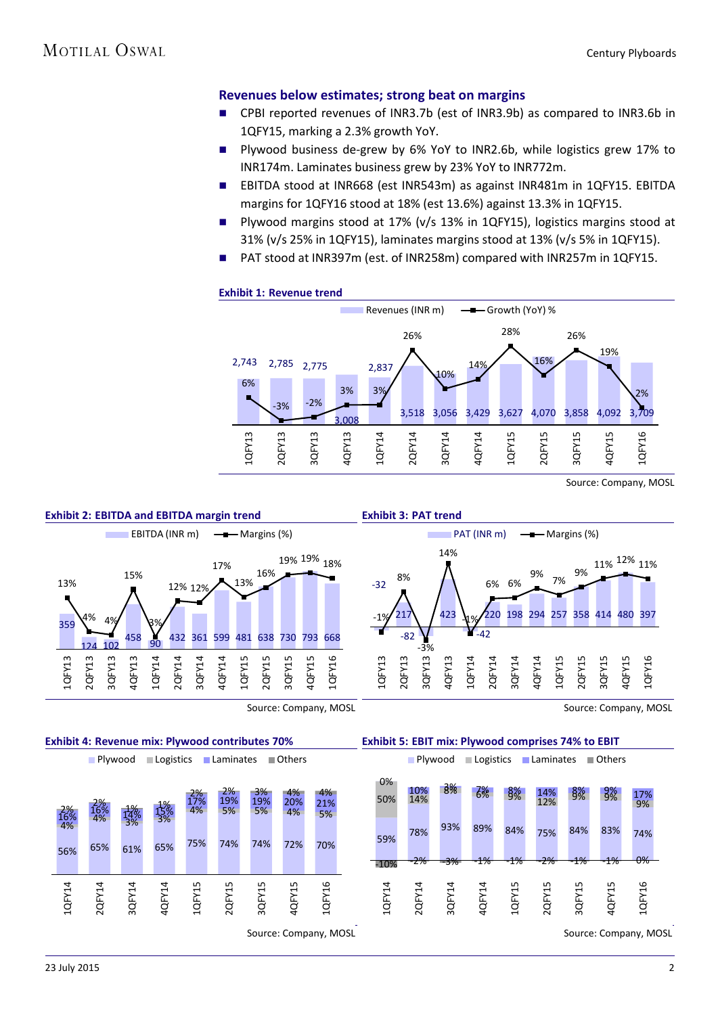#### **Revenues below estimates; strong beat on margins**

- CPBI reported revenues of INR3.7b (est of INR3.9b) as compared to INR3.6b in 1QFY15, marking a 2.3% growth YoY.
- **Plywood business de-grew by 6% YoY to INR2.6b, while logistics grew 17% to** INR174m. Laminates business grew by 23% YoY to INR772m.
- EBITDA stood at INR668 (est INR543m) as against INR481m in 1QFY15. EBITDA margins for 1QFY16 stood at 18% (est 13.6%) against 13.3% in 1QFY15.
- **Plywood margins stood at 17% (v/s 13% in 1QFY15), logistics margins stood at** 31% (v/s 25% in 1QFY15), laminates margins stood at 13% (v/s 5% in 1QFY15).
- PAT stood at INR397m (est. of INR258m) compared with INR257m in 1QFY15.



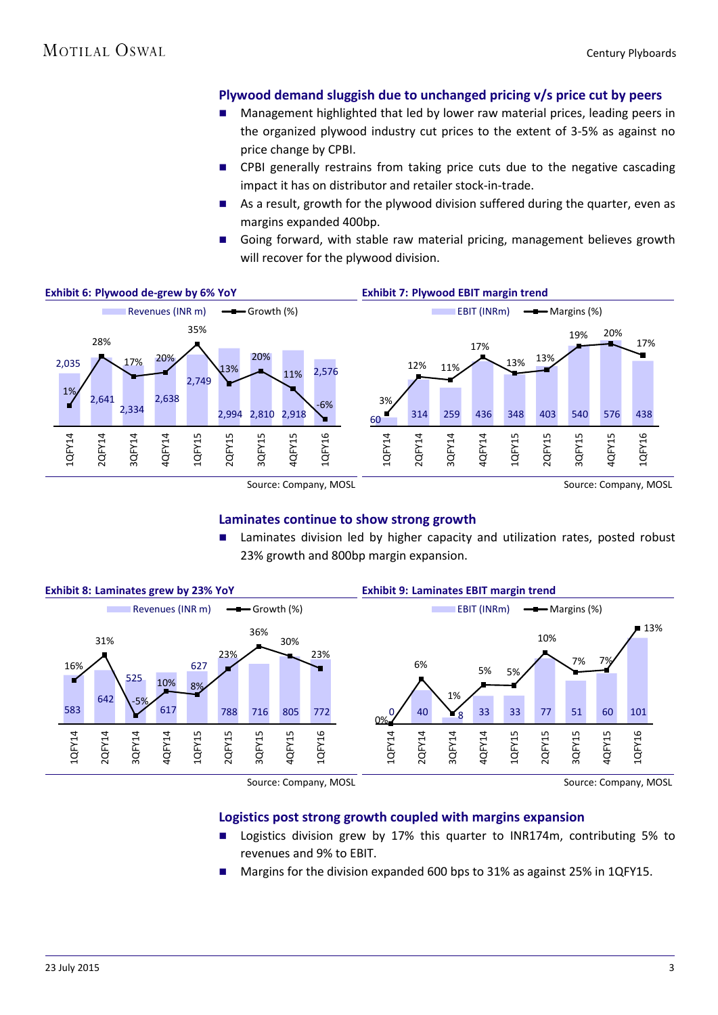#### **Plywood demand sluggish due to unchanged pricing v/s price cut by peers**

- Management highlighted that led by lower raw material prices, leading peers in the organized plywood industry cut prices to the extent of 3-5% as against no price change by CPBI.
- CPBI generally restrains from taking price cuts due to the negative cascading impact it has on distributor and retailer stock-in-trade.
- As a result, growth for the plywood division suffered during the quarter, even as margins expanded 400bp.
- Going forward, with stable raw material pricing, management believes growth will recover for the plywood division.



#### **Laminates continue to show strong growth**

 Laminates division led by higher capacity and utilization rates, posted robust 23% growth and 800bp margin expansion.



Source: Company, MOSL

Source: Company, MOSL

#### **Logistics post strong growth coupled with margins expansion**

- Logistics division grew by 17% this quarter to INR174m, contributing 5% to revenues and 9% to EBIT.
- Margins for the division expanded 600 bps to 31% as against 25% in 1QFY15.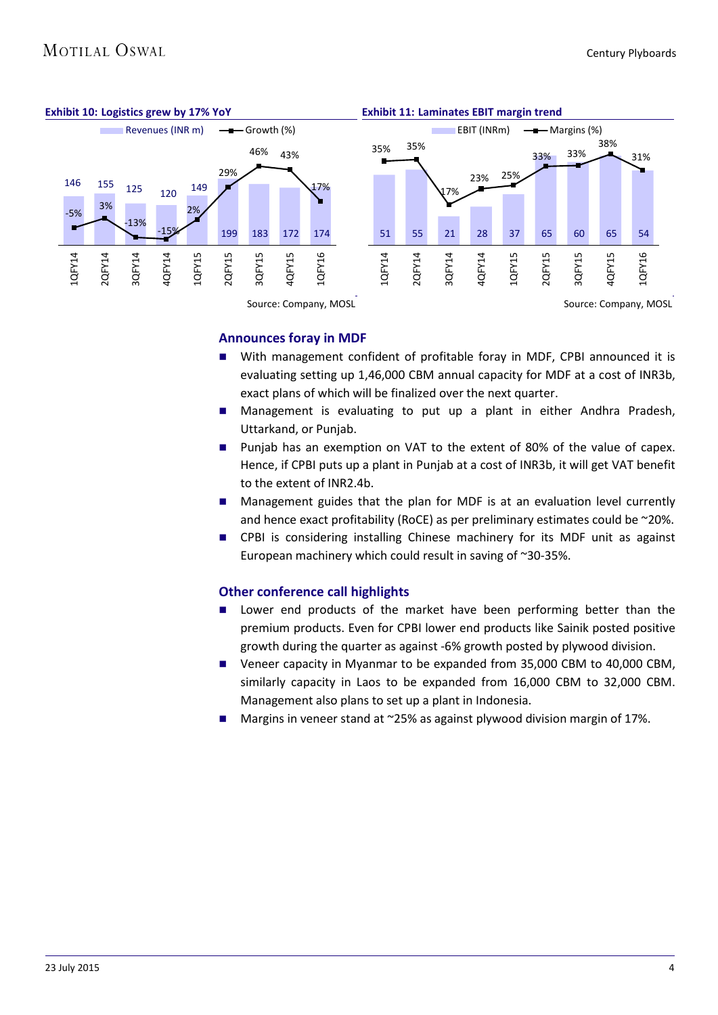

#### **Announces foray in MDF**

- With management confident of profitable foray in MDF, CPBI announced it is evaluating setting up 1,46,000 CBM annual capacity for MDF at a cost of INR3b, exact plans of which will be finalized over the next quarter.
- **Management is evaluating to put up a plant in either Andhra Pradesh,** Uttarkand, or Punjab.
- **Punjab has an exemption on VAT to the extent of 80% of the value of capex.** Hence, if CPBI puts up a plant in Punjab at a cost of INR3b, it will get VAT benefit to the extent of INR2.4b.
- Management guides that the plan for MDF is at an evaluation level currently and hence exact profitability (RoCE) as per preliminary estimates could be ~20%.
- CPBI is considering installing Chinese machinery for its MDF unit as against European machinery which could result in saving of ~30-35%.

#### **Other conference call highlights**

- Lower end products of the market have been performing better than the premium products. Even for CPBI lower end products like Sainik posted positive growth during the quarter as against -6% growth posted by plywood division.
- Veneer capacity in Myanmar to be expanded from 35,000 CBM to 40,000 CBM, similarly capacity in Laos to be expanded from 16,000 CBM to 32,000 CBM. Management also plans to set up a plant in Indonesia.
- Margins in veneer stand at ~25% as against plywood division margin of 17%.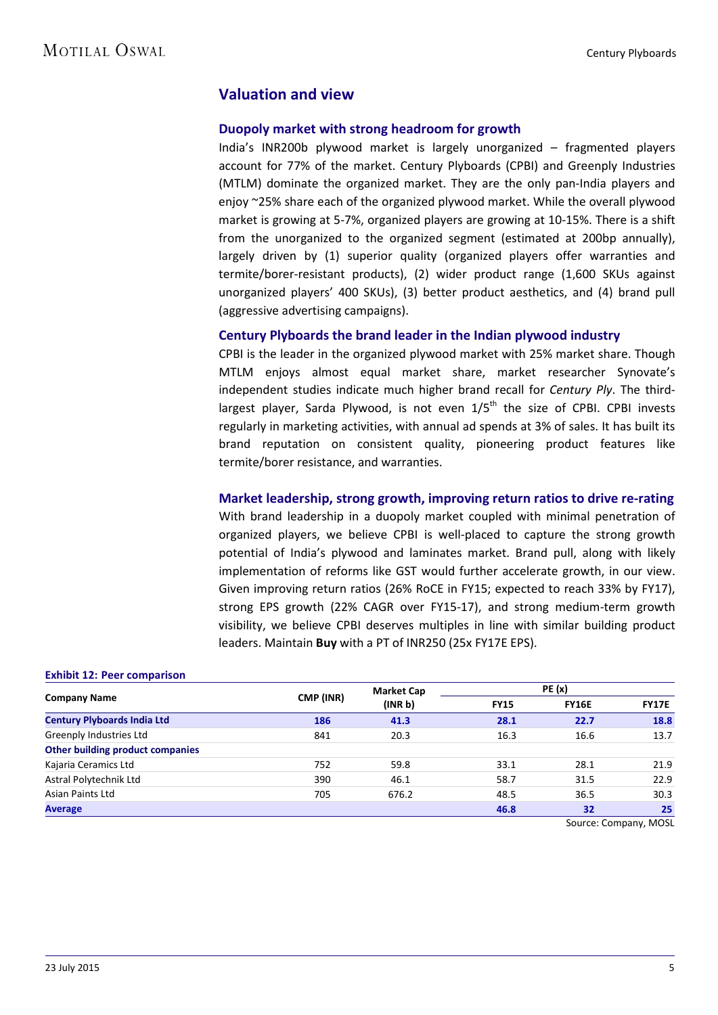### **Valuation and view**

#### **Duopoly market with strong headroom for growth**

India's INR200b plywood market is largely unorganized – fragmented players account for 77% of the market. Century Plyboards (CPBI) and Greenply Industries (MTLM) dominate the organized market. They are the only pan-India players and enjoy ~25% share each of the organized plywood market. While the overall plywood market is growing at 5-7%, organized players are growing at 10-15%. There is a shift from the unorganized to the organized segment (estimated at 200bp annually), largely driven by (1) superior quality (organized players offer warranties and termite/borer-resistant products), (2) wider product range (1,600 SKUs against unorganized players' 400 SKUs), (3) better product aesthetics, and (4) brand pull (aggressive advertising campaigns).

#### **Century Plyboards the brand leader in the Indian plywood industry**

CPBI is the leader in the organized plywood market with 25% market share. Though MTLM enjoys almost equal market share, market researcher Synovate's independent studies indicate much higher brand recall for *Century Ply*. The thirdlargest player, Sarda Plywood, is not even  $1/5<sup>th</sup>$  the size of CPBI. CPBI invests regularly in marketing activities, with annual ad spends at 3% of sales. It has built its brand reputation on consistent quality, pioneering product features like termite/borer resistance, and warranties.

#### **Market leadership, strong growth, improving return ratios to drive re-rating**

With brand leadership in a duopoly market coupled with minimal penetration of organized players, we believe CPBI is well-placed to capture the strong growth potential of India's plywood and laminates market. Brand pull, along with likely implementation of reforms like GST would further accelerate growth, in our view. Given improving return ratios (26% RoCE in FY15; expected to reach 33% by FY17), strong EPS growth (22% CAGR over FY15-17), and strong medium-term growth visibility, we believe CPBI deserves multiples in line with similar building product leaders. Maintain **Buy** with a PT of INR250 (25x FY17E EPS).

|                                    | CMP (INR) | <b>Market Cap</b>   |             |              |              |
|------------------------------------|-----------|---------------------|-------------|--------------|--------------|
| <b>Company Name</b>                |           | (INR <sub>b</sub> ) | <b>FY15</b> | <b>FY16E</b> | <b>FY17E</b> |
| <b>Century Plyboards India Ltd</b> | 186       | 41.3                | 28.1        | 22.7         | 18.8         |
| Greenply Industries Ltd            | 841       | 20.3                | 16.3        | 16.6         | 13.7         |
| Other building product companies   |           |                     |             |              |              |
| Kajaria Ceramics Ltd               | 752       | 59.8                | 33.1        | 28.1         | 21.9         |
| Astral Polytechnik Ltd             | 390       | 46.1                | 58.7        | 31.5         | 22.9         |
| Asian Paints Ltd                   | 705       | 676.2               | 48.5        | 36.5         | 30.3         |
| <b>Average</b>                     |           |                     | 46.8        | 32           | 25           |

#### **Exhibit 12: Peer comparison**

Source: Company, MOSL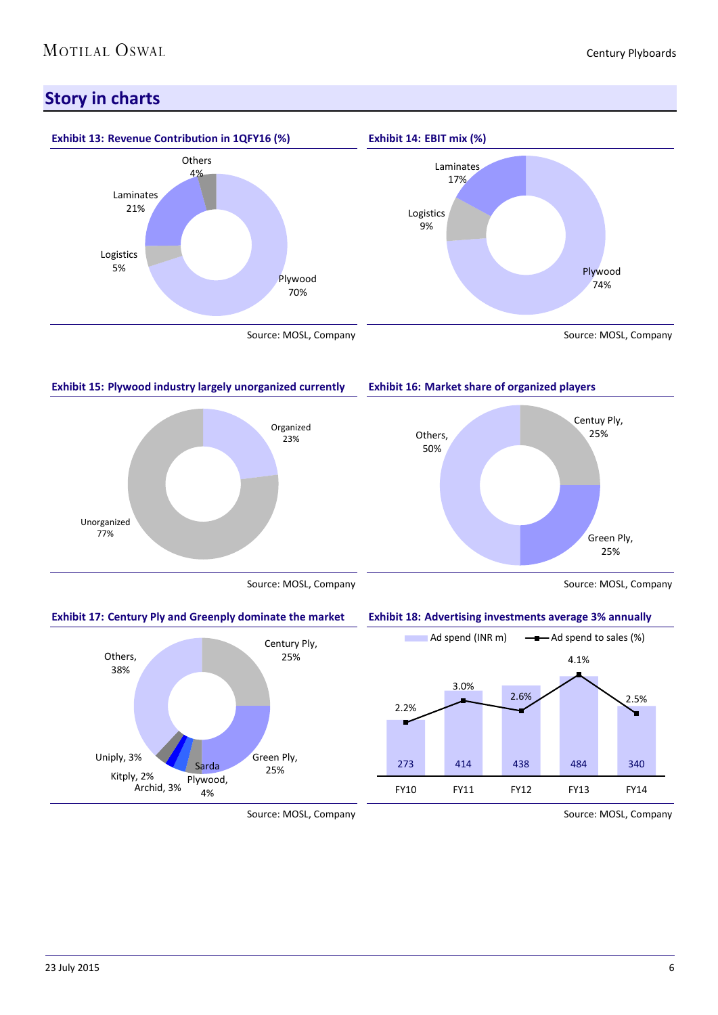### **Story in charts**



#### **Exhibit 15: Plywood industry largely unorganized currently**



**Exhibit 16: Market share of organized players**



Source: MOSL, Company

#### **Exhibit 17: Century Ply and Greenply dominate the market**



#### **Exhibit 18: Advertising investments average 3% annually**



Source: MOSL, Company

Source: MOSL, Company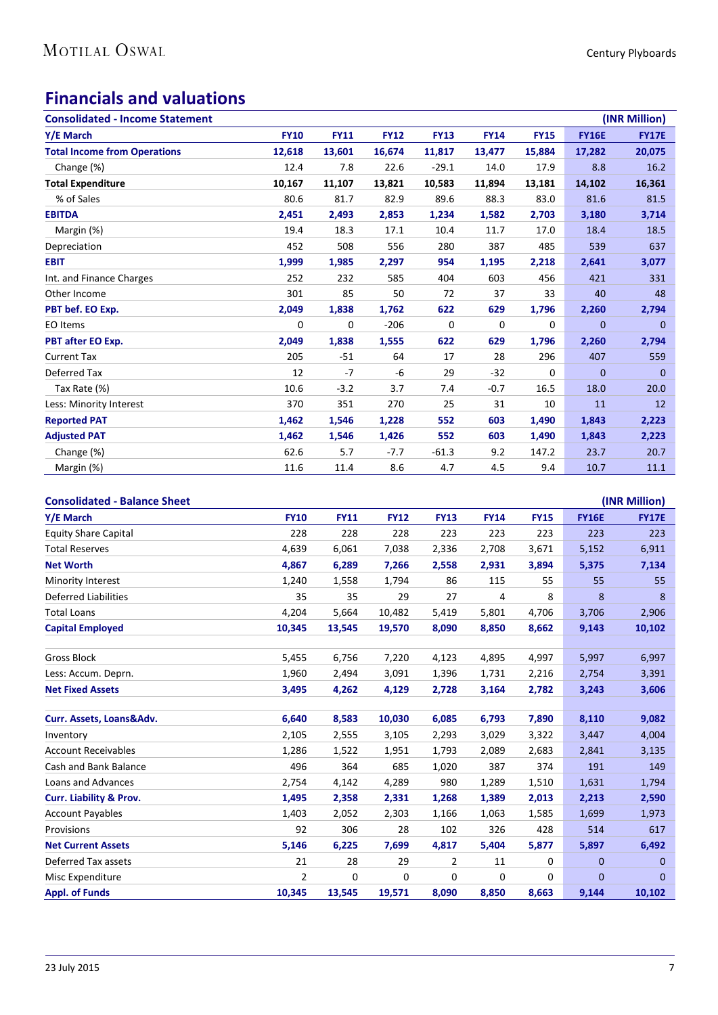### **Financials and valuations**

| <b>Consolidated - Income Statement</b> |             |             |             |             |             |             |              | (INR Million) |
|----------------------------------------|-------------|-------------|-------------|-------------|-------------|-------------|--------------|---------------|
| Y/E March                              | <b>FY10</b> | <b>FY11</b> | <b>FY12</b> | <b>FY13</b> | <b>FY14</b> | <b>FY15</b> | <b>FY16E</b> | <b>FY17E</b>  |
| <b>Total Income from Operations</b>    | 12,618      | 13,601      | 16,674      | 11,817      | 13,477      | 15,884      | 17,282       | 20,075        |
| Change (%)                             | 12.4        | 7.8         | 22.6        | $-29.1$     | 14.0        | 17.9        | 8.8          | 16.2          |
| <b>Total Expenditure</b>               | 10,167      | 11,107      | 13,821      | 10,583      | 11,894      | 13,181      | 14,102       | 16,361        |
| % of Sales                             | 80.6        | 81.7        | 82.9        | 89.6        | 88.3        | 83.0        | 81.6         | 81.5          |
| <b>EBITDA</b>                          | 2,451       | 2,493       | 2,853       | 1,234       | 1,582       | 2,703       | 3,180        | 3,714         |
| Margin (%)                             | 19.4        | 18.3        | 17.1        | 10.4        | 11.7        | 17.0        | 18.4         | 18.5          |
| Depreciation                           | 452         | 508         | 556         | 280         | 387         | 485         | 539          | 637           |
| <b>EBIT</b>                            | 1,999       | 1,985       | 2,297       | 954         | 1,195       | 2,218       | 2,641        | 3,077         |
| Int. and Finance Charges               | 252         | 232         | 585         | 404         | 603         | 456         | 421          | 331           |
| Other Income                           | 301         | 85          | 50          | 72          | 37          | 33          | 40           | 48            |
| PBT bef. EO Exp.                       | 2,049       | 1,838       | 1,762       | 622         | 629         | 1,796       | 2,260        | 2,794         |
| EO Items                               | $\mathbf 0$ | 0           | $-206$      | $\mathbf 0$ | 0           | 0           | $\mathbf{0}$ | $\mathbf{0}$  |
| PBT after EO Exp.                      | 2,049       | 1,838       | 1,555       | 622         | 629         | 1,796       | 2,260        | 2,794         |
| <b>Current Tax</b>                     | 205         | $-51$       | 64          | 17          | 28          | 296         | 407          | 559           |
| Deferred Tax                           | 12          | $-7$        | -6          | 29          | $-32$       | 0           | $\mathbf{0}$ | $\mathbf{0}$  |
| Tax Rate (%)                           | 10.6        | $-3.2$      | 3.7         | 7.4         | $-0.7$      | 16.5        | 18.0         | 20.0          |
| Less: Minority Interest                | 370         | 351         | 270         | 25          | 31          | 10          | 11           | 12            |
| <b>Reported PAT</b>                    | 1,462       | 1,546       | 1,228       | 552         | 603         | 1,490       | 1,843        | 2,223         |
| <b>Adjusted PAT</b>                    | 1,462       | 1,546       | 1,426       | 552         | 603         | 1,490       | 1,843        | 2,223         |
| Change (%)                             | 62.6        | 5.7         | $-7.7$      | $-61.3$     | 9.2         | 147.2       | 23.7         | 20.7          |
| Margin (%)                             | 11.6        | 11.4        | 8.6         | 4.7         | 4.5         | 9.4         | 10.7         | 11.1          |

| <b>Consolidated - Balance Sheet</b> |                |             |             |                |             |             |              | (INR Million) |
|-------------------------------------|----------------|-------------|-------------|----------------|-------------|-------------|--------------|---------------|
| Y/E March                           | <b>FY10</b>    | <b>FY11</b> | <b>FY12</b> | <b>FY13</b>    | <b>FY14</b> | <b>FY15</b> | <b>FY16E</b> | <b>FY17E</b>  |
| <b>Equity Share Capital</b>         | 228            | 228         | 228         | 223            | 223         | 223         | 223          | 223           |
| <b>Total Reserves</b>               | 4,639          | 6,061       | 7,038       | 2,336          | 2,708       | 3,671       | 5,152        | 6,911         |
| <b>Net Worth</b>                    | 4,867          | 6,289       | 7,266       | 2,558          | 2,931       | 3,894       | 5,375        | 7,134         |
| Minority Interest                   | 1,240          | 1,558       | 1,794       | 86             | 115         | 55          | 55           | 55            |
| <b>Deferred Liabilities</b>         | 35             | 35          | 29          | 27             | 4           | 8           | 8            | 8             |
| <b>Total Loans</b>                  | 4,204          | 5,664       | 10,482      | 5,419          | 5,801       | 4,706       | 3,706        | 2,906         |
| <b>Capital Employed</b>             | 10,345         | 13,545      | 19,570      | 8,090          | 8,850       | 8,662       | 9,143        | 10,102        |
|                                     |                |             |             |                |             |             |              |               |
| Gross Block                         | 5,455          | 6,756       | 7,220       | 4,123          | 4,895       | 4,997       | 5,997        | 6,997         |
| Less: Accum. Deprn.                 | 1,960          | 2,494       | 3,091       | 1,396          | 1,731       | 2,216       | 2,754        | 3,391         |
| <b>Net Fixed Assets</b>             | 3,495          | 4,262       | 4,129       | 2,728          | 3,164       | 2,782       | 3,243        | 3,606         |
|                                     |                |             |             |                |             |             |              |               |
| Curr. Assets, Loans&Adv.            | 6,640          | 8,583       | 10,030      | 6,085          | 6,793       | 7,890       | 8,110        | 9,082         |
| Inventory                           | 2,105          | 2,555       | 3,105       | 2,293          | 3,029       | 3,322       | 3,447        | 4,004         |
| <b>Account Receivables</b>          | 1,286          | 1,522       | 1,951       | 1,793          | 2,089       | 2,683       | 2,841        | 3,135         |
| Cash and Bank Balance               | 496            | 364         | 685         | 1,020          | 387         | 374         | 191          | 149           |
| Loans and Advances                  | 2,754          | 4,142       | 4,289       | 980            | 1,289       | 1,510       | 1,631        | 1,794         |
| <b>Curr. Liability &amp; Prov.</b>  | 1,495          | 2,358       | 2,331       | 1,268          | 1,389       | 2,013       | 2,213        | 2,590         |
| <b>Account Payables</b>             | 1,403          | 2,052       | 2,303       | 1,166          | 1,063       | 1,585       | 1,699        | 1,973         |
| Provisions                          | 92             | 306         | 28          | 102            | 326         | 428         | 514          | 617           |
| <b>Net Current Assets</b>           | 5,146          | 6,225       | 7,699       | 4,817          | 5,404       | 5,877       | 5,897        | 6,492         |
| Deferred Tax assets                 | 21             | 28          | 29          | $\overline{2}$ | 11          | 0           | 0            | $\mathbf 0$   |
| Misc Expenditure                    | $\overline{2}$ | 0           | 0           | 0              | 0           | 0           | $\mathbf{0}$ | 0             |
| <b>Appl. of Funds</b>               | 10,345         | 13,545      | 19,571      | 8,090          | 8,850       | 8,663       | 9,144        | 10,102        |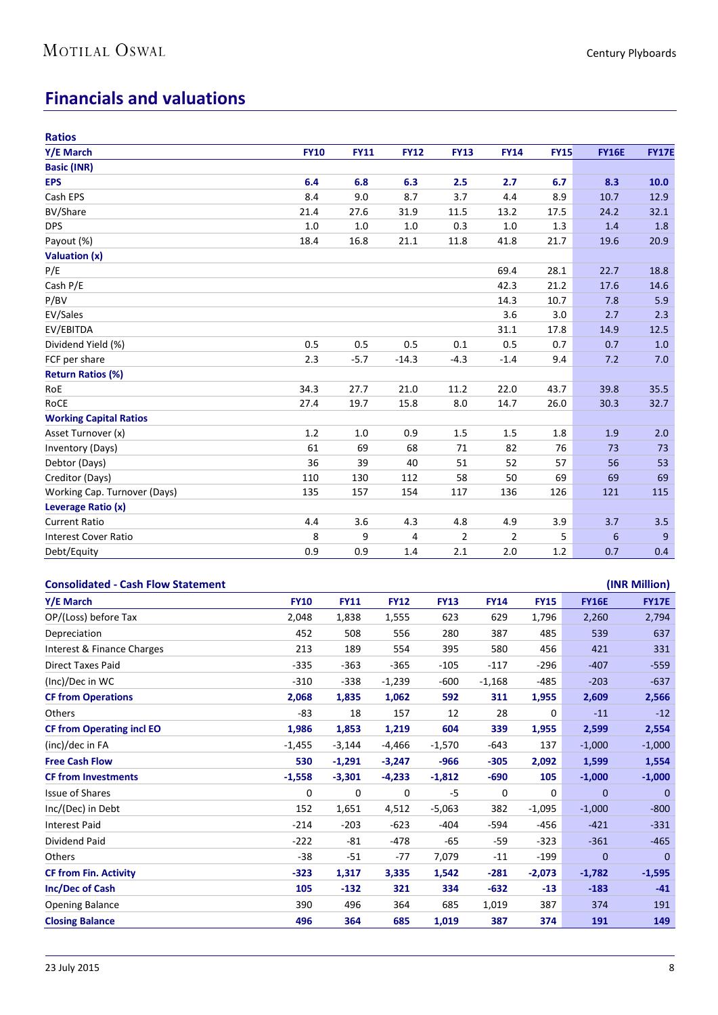## **Financials and valuations**

| <b>Ratios</b>                 |             |             |             |                |             |             |              |              |
|-------------------------------|-------------|-------------|-------------|----------------|-------------|-------------|--------------|--------------|
| Y/E March                     | <b>FY10</b> | <b>FY11</b> | <b>FY12</b> | <b>FY13</b>    | <b>FY14</b> | <b>FY15</b> | <b>FY16E</b> | <b>FY17E</b> |
| <b>Basic (INR)</b>            |             |             |             |                |             |             |              |              |
| <b>EPS</b>                    | 6.4         | 6.8         | 6.3         | 2.5            | 2.7         | 6.7         | 8.3          | 10.0         |
| Cash EPS                      | 8.4         | 9.0         | 8.7         | 3.7            | 4.4         | 8.9         | 10.7         | 12.9         |
| BV/Share                      | 21.4        | 27.6        | 31.9        | 11.5           | 13.2        | 17.5        | 24.2         | 32.1         |
| <b>DPS</b>                    | 1.0         | 1.0         | 1.0         | 0.3            | 1.0         | 1.3         | 1.4          | 1.8          |
| Payout (%)                    | 18.4        | 16.8        | 21.1        | 11.8           | 41.8        | 21.7        | 19.6         | 20.9         |
| Valuation (x)                 |             |             |             |                |             |             |              |              |
| P/E                           |             |             |             |                | 69.4        | 28.1        | 22.7         | 18.8         |
| Cash P/E                      |             |             |             |                | 42.3        | 21.2        | 17.6         | 14.6         |
| P/BV                          |             |             |             |                | 14.3        | 10.7        | 7.8          | 5.9          |
| EV/Sales                      |             |             |             |                | 3.6         | 3.0         | 2.7          | 2.3          |
| EV/EBITDA                     |             |             |             |                | 31.1        | 17.8        | 14.9         | 12.5         |
| Dividend Yield (%)            | 0.5         | 0.5         | 0.5         | 0.1            | 0.5         | 0.7         | 0.7          | 1.0          |
| FCF per share                 | 2.3         | $-5.7$      | $-14.3$     | $-4.3$         | $-1.4$      | 9.4         | 7.2          | 7.0          |
| <b>Return Ratios (%)</b>      |             |             |             |                |             |             |              |              |
| RoE                           | 34.3        | 27.7        | 21.0        | 11.2           | 22.0        | 43.7        | 39.8         | 35.5         |
| RoCE                          | 27.4        | 19.7        | 15.8        | 8.0            | 14.7        | 26.0        | 30.3         | 32.7         |
| <b>Working Capital Ratios</b> |             |             |             |                |             |             |              |              |
| Asset Turnover (x)            | 1.2         | 1.0         | 0.9         | 1.5            | 1.5         | 1.8         | 1.9          | 2.0          |
| <b>Inventory (Days)</b>       | 61          | 69          | 68          | 71             | 82          | 76          | 73           | 73           |
| Debtor (Days)                 | 36          | 39          | 40          | 51             | 52          | 57          | 56           | 53           |
| Creditor (Days)               | 110         | 130         | 112         | 58             | 50          | 69          | 69           | 69           |
| Working Cap. Turnover (Days)  | 135         | 157         | 154         | 117            | 136         | 126         | 121          | 115          |
| Leverage Ratio (x)            |             |             |             |                |             |             |              |              |
| <b>Current Ratio</b>          | 4.4         | 3.6         | 4.3         | 4.8            | 4.9         | 3.9         | 3.7          | 3.5          |
| <b>Interest Cover Ratio</b>   | 8           | 9           | 4           | $\overline{2}$ | 2           | 5           | 6            | 9            |
| Debt/Equity                   | 0.9         | 0.9         | 1.4         | 2.1            | 2.0         | 1.2         | 0.7          | 0.4          |

| <b>Consolidated - Cash Flow Statement</b> |             |             |             |             |             |             |              | (INR Million)  |
|-------------------------------------------|-------------|-------------|-------------|-------------|-------------|-------------|--------------|----------------|
| Y/E March                                 | <b>FY10</b> | <b>FY11</b> | <b>FY12</b> | <b>FY13</b> | <b>FY14</b> | <b>FY15</b> | <b>FY16E</b> | <b>FY17E</b>   |
| OP/(Loss) before Tax                      | 2,048       | 1,838       | 1,555       | 623         | 629         | 1,796       | 2,260        | 2,794          |
| Depreciation                              | 452         | 508         | 556         | 280         | 387         | 485         | 539          | 637            |
| Interest & Finance Charges                | 213         | 189         | 554         | 395         | 580         | 456         | 421          | 331            |
| <b>Direct Taxes Paid</b>                  | $-335$      | $-363$      | $-365$      | $-105$      | $-117$      | $-296$      | $-407$       | $-559$         |
| (Inc)/Dec in WC                           | $-310$      | $-338$      | $-1,239$    | $-600$      | $-1,168$    | $-485$      | $-203$       | $-637$         |
| <b>CF from Operations</b>                 | 2,068       | 1,835       | 1,062       | 592         | 311         | 1,955       | 2,609        | 2,566          |
| <b>Others</b>                             | $-83$       | 18          | 157         | 12          | 28          | 0           | $-11$        | $-12$          |
| <b>CF from Operating incl EO</b>          | 1,986       | 1,853       | 1,219       | 604         | 339         | 1,955       | 2,599        | 2,554          |
| (inc)/dec in FA                           | $-1,455$    | $-3,144$    | $-4,466$    | $-1,570$    | $-643$      | 137         | $-1,000$     | $-1,000$       |
| <b>Free Cash Flow</b>                     | 530         | $-1,291$    | $-3,247$    | $-966$      | $-305$      | 2,092       | 1,599        | 1,554          |
| <b>CF from Investments</b>                | $-1,558$    | $-3,301$    | $-4,233$    | $-1,812$    | $-690$      | 105         | $-1,000$     | $-1,000$       |
| <b>Issue of Shares</b>                    | 0           | 0           | 0           | $-5$        | 0           | 0           | $\mathbf{0}$ | $\overline{0}$ |
| Inc/(Dec) in Debt                         | 152         | 1,651       | 4,512       | $-5,063$    | 382         | $-1,095$    | $-1,000$     | $-800$         |
| <b>Interest Paid</b>                      | $-214$      | $-203$      | $-623$      | $-404$      | $-594$      | -456        | $-421$       | $-331$         |
| Dividend Paid                             | $-222$      | $-81$       | $-478$      | -65         | -59         | $-323$      | $-361$       | $-465$         |
| Others                                    | $-38$       | $-51$       | -77         | 7,079       | $-11$       | $-199$      | $\mathbf{0}$ | $\mathbf{0}$   |
| <b>CF from Fin. Activity</b>              | $-323$      | 1,317       | 3,335       | 1,542       | $-281$      | $-2,073$    | $-1,782$     | $-1,595$       |
| <b>Inc/Dec of Cash</b>                    | 105         | $-132$      | 321         | 334         | $-632$      | $-13$       | $-183$       | $-41$          |
| <b>Opening Balance</b>                    | 390         | 496         | 364         | 685         | 1,019       | 387         | 374          | 191            |
| <b>Closing Balance</b>                    | 496         | 364         | 685         | 1,019       | 387         | 374         | 191          | 149            |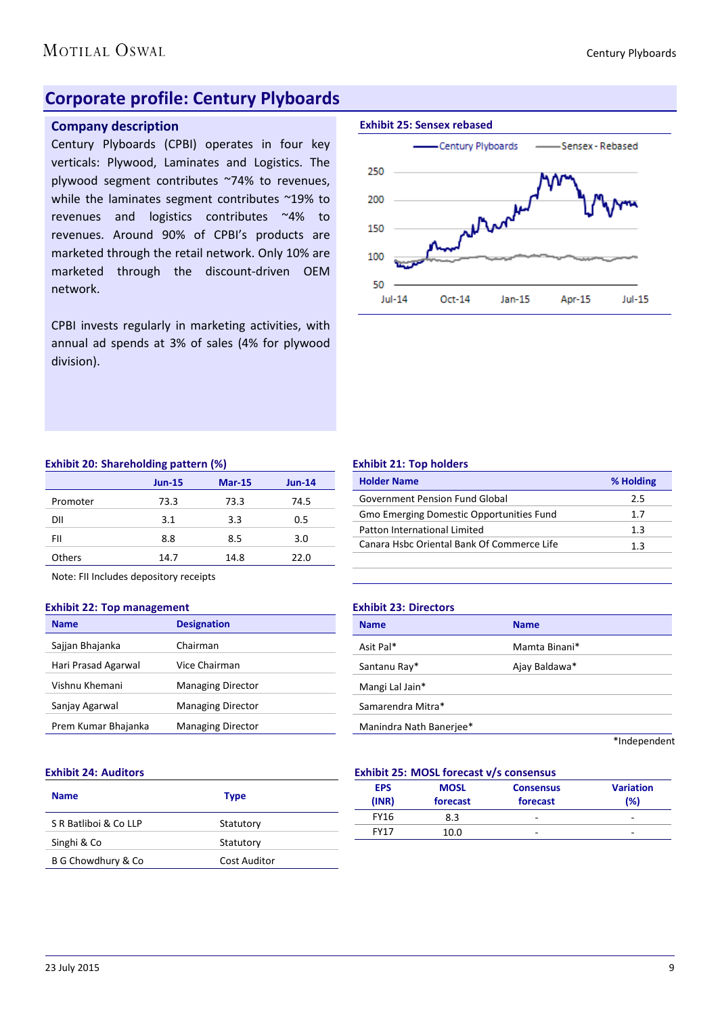### **Corporate profile: Century Plyboards**

#### **Company description**

Century Plyboards (CPBI) operates in four key verticals: Plywood, Laminates and Logistics. The plywood segment contributes ~74% to revenues, while the laminates segment contributes ~19% to revenues and logistics contributes ~4% to revenues. Around 90% of CPBI's products are marketed through the retail network. Only 10% are marketed through the discount-driven OEM network.

CPBI invests regularly in marketing activities, with annual ad spends at 3% of sales (4% for plywood division).



#### **Exhibit 20: Shareholding pattern (%)**

|               | . .           |               |          |
|---------------|---------------|---------------|----------|
|               | <b>Jun-15</b> | <b>Mar-15</b> | $Jun-14$ |
| Promoter      | 73.3          | 73.3          | 74.5     |
| DII           | 3.1           | 3.3           | 0.5      |
| FII           | 8.8           | 8.5           | 3.0      |
| <b>Others</b> | 14.7          | 14.8          | 22.0     |

Note: FII Includes depository receipts

#### **Exhibit 22: Top management**

| <b>Name</b>         | <b>Designation</b>       |
|---------------------|--------------------------|
| Sajjan Bhajanka     | Chairman                 |
| Hari Prasad Agarwal | Vice Chairman            |
| Vishnu Khemani      | <b>Managing Director</b> |
| Sanjay Agarwal      | <b>Managing Director</b> |
| Prem Kumar Bhajanka | <b>Managing Director</b> |

#### **Exhibit 21: Top holders**

| <b>Holder Name</b>                         | % Holding |
|--------------------------------------------|-----------|
| <b>Government Pension Fund Global</b>      | 2.5       |
| Gmo Emerging Domestic Opportunities Fund   | 1.7       |
| Patton International Limited               | 1.3       |
| Canara Hsbc Oriental Bank Of Commerce Life | 1.3       |
|                                            |           |

#### **Exhibit 23: Directors**

| <b>Name</b>             | <b>Name</b>   |  |
|-------------------------|---------------|--|
| Asit Pal*               | Mamta Binani* |  |
| Santanu Ray*            | Ajay Baldawa* |  |
| Mangi Lal Jain*         |               |  |
| Samarendra Mitra*       |               |  |
| Manindra Nath Banerjee* |               |  |
|                         | *Independent  |  |

#### **Exhibit 24: Auditors**

| <b>Name</b>           | <b>Type</b>         |
|-----------------------|---------------------|
| S R Batliboi & Co LLP | Statutory           |
| Singhi & Co           | Statutory           |
| B G Chowdhury & Co    | <b>Cost Auditor</b> |

#### **Exhibit 25: MOSL forecast v/s consensus**

| EMINING EDITION COLORED VID CONSCIIUS |                         |                              |                         |  |  |
|---------------------------------------|-------------------------|------------------------------|-------------------------|--|--|
| <b>EPS</b><br>(INR)                   | <b>MOSL</b><br>forecast | <b>Consensus</b><br>forecast | <b>Variation</b><br>(%) |  |  |
| <b>FY16</b>                           | 8.3                     | -                            | -                       |  |  |
| <b>FY17</b>                           | 10.0                    | -                            | -                       |  |  |
|                                       |                         |                              |                         |  |  |